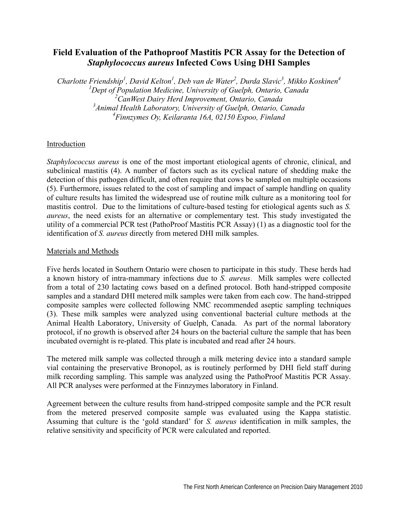# **Field Evaluation of the Pathoproof Mastitis PCR Assay for the Detection of**  *Staphylococcus aureus* **Infected Cows Using DHI Samples**

*Charlotte Friendship1 , David Kelton1 , Deb van de Water2 , Durda Slavic3 , Mikko Koskinen4 Dept of Population Medicine, University of Guelph, Ontario, Canada CanWest Dairy Herd Improvement, Ontario, Canada Animal Health Laboratory, University of Guelph, Ontario, Canada Finnzymes Oy, Keilaranta 16A, 02150 Espoo, Finland* 

## Introduction

*Staphylococcus aureus* is one of the most important etiological agents of chronic, clinical, and subclinical mastitis (4). A number of factors such as its cyclical nature of shedding make the detection of this pathogen difficult, and often require that cows be sampled on multiple occasions (5). Furthermore, issues related to the cost of sampling and impact of sample handling on quality of culture results has limited the widespread use of routine milk culture as a monitoring tool for mastitis control. Due to the limitations of culture-based testing for etiological agents such as *S. aureus*, the need exists for an alternative or complementary test. This study investigated the utility of a commercial PCR test (PathoProof Mastitis PCR Assay) (1) as a diagnostic tool for the identification of *S. aureus* directly from metered DHI milk samples.

### Materials and Methods

Five herds located in Southern Ontario were chosen to participate in this study. These herds had a known history of intra-mammary infections due to *S. aureus*. Milk samples were collected from a total of 230 lactating cows based on a defined protocol. Both hand-stripped composite samples and a standard DHI metered milk samples were taken from each cow. The hand-stripped composite samples were collected following NMC recommended aseptic sampling techniques (3). These milk samples were analyzed using conventional bacterial culture methods at the Animal Health Laboratory, University of Guelph, Canada. As part of the normal laboratory protocol, if no growth is observed after 24 hours on the bacterial culture the sample that has been incubated overnight is re-plated. This plate is incubated and read after 24 hours.

The metered milk sample was collected through a milk metering device into a standard sample vial containing the preservative Bronopol, as is routinely performed by DHI field staff during milk recording sampling. This sample was analyzed using the PathoProof Mastitis PCR Assay. All PCR analyses were performed at the Finnzymes laboratory in Finland.

Agreement between the culture results from hand-stripped composite sample and the PCR result from the metered preserved composite sample was evaluated using the Kappa statistic. Assuming that culture is the 'gold standard' for *S. aureus* identification in milk samples, the relative sensitivity and specificity of PCR were calculated and reported.